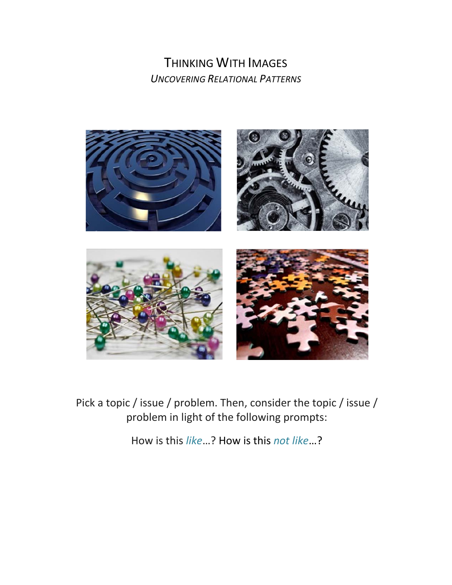## THINKING WITH IMAGES *UNCOVERING RELATIONAL PATTERNS*



Pick a topic / issue / problem. Then, consider the topic / issue / problem in light of the following prompts:

How is this *like*…? How is this *not like*…?